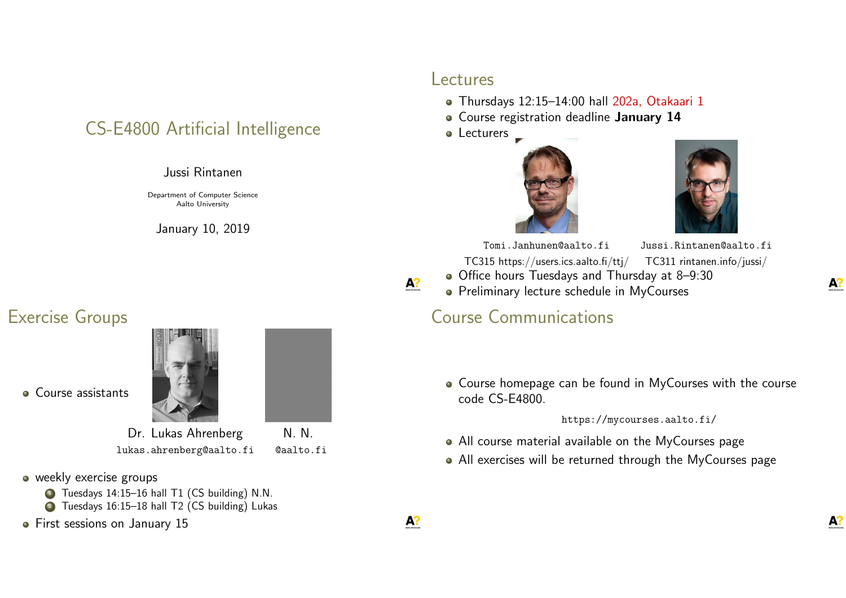## CS-E4800 Artificial Intelligence

#### Jussi Rintanen

Department of Computer Science Aalto University

January 10, 2019

#### Exercise Groups



- weekly exercise groups
	- <sup>1</sup> Tuesdays 14:15–16 hall T1 (CS building) N.N.
	- 2 Tuesdays 16:15-18 hall T2 (CS building) Lukas
- **•** First sessions on January 15

#### Lectures

- Thursdays 12:15–14:00 hall 202a, Otakaari 1
- **Course registration deadline January 14**
- Lecturers \_





Tomi.Janhunen@aalto.fi Jussi.Rintanen@aalto.fi

TC315 https://users.ics.aalto.fi/ttj/ TC311 rintanen.info/jussi/ Office hours Tuesdays and Thursday at 8–9:30

• Preliminary lecture schedule in MyCourses

#### Course Communications

Course homepage can be found in MyCourses with the course code CS-E4800.

https://mycourses.aalto.fi/

- All course material available on the MyCourses page
- All exercises will be returned through the MyCourses page



 $A$ ?



A?